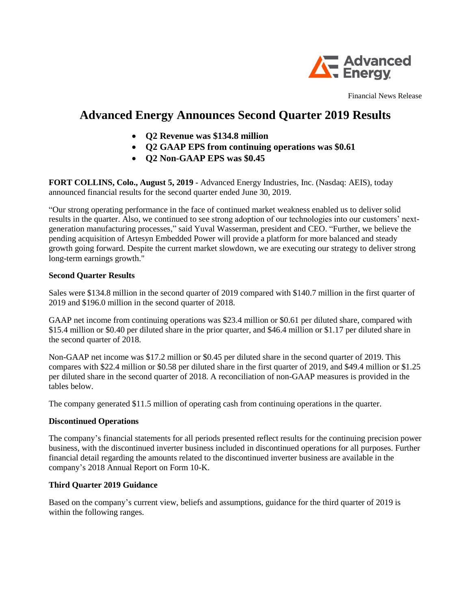

Financial News Release

# **Advanced Energy Announces Second Quarter 2019 Results**

- **Q2 Revenue was \$134.8 million**
- **Q2 GAAP EPS from continuing operations was \$0.61**
- **Q2 Non-GAAP EPS was \$0.45**

**FORT COLLINS, Colo., August 5, 2019** - Advanced Energy Industries, Inc. (Nasdaq: AEIS), today announced financial results for the second quarter ended June 30, 2019.

"Our strong operating performance in the face of continued market weakness enabled us to deliver solid results in the quarter. Also, we continued to see strong adoption of our technologies into our customers' nextgeneration manufacturing processes," said Yuval Wasserman, president and CEO. "Further, we believe the pending acquisition of Artesyn Embedded Power will provide a platform for more balanced and steady growth going forward. Despite the current market slowdown, we are executing our strategy to deliver strong long-term earnings growth."

## **Second Quarter Results**

Sales were \$134.8 million in the second quarter of 2019 compared with \$140.7 million in the first quarter of 2019 and \$196.0 million in the second quarter of 2018.

GAAP net income from continuing operations was \$23.4 million or \$0.61 per diluted share, compared with \$15.4 million or \$0.40 per diluted share in the prior quarter, and \$46.4 million or \$1.17 per diluted share in the second quarter of 2018.

Non-GAAP net income was \$17.2 million or \$0.45 per diluted share in the second quarter of 2019. This compares with \$22.4 million or \$0.58 per diluted share in the first quarter of 2019, and \$49.4 million or \$1.25 per diluted share in the second quarter of 2018. A reconciliation of non-GAAP measures is provided in the tables below.

The company generated \$11.5 million of operating cash from continuing operations in the quarter.

## **Discontinued Operations**

The company's financial statements for all periods presented reflect results for the continuing precision power business, with the discontinued inverter business included in discontinued operations for all purposes. Further financial detail regarding the amounts related to the discontinued inverter business are available in the company's 2018 Annual Report on Form 10-K.

## **Third Quarter 2019 Guidance**

Based on the company's current view, beliefs and assumptions, guidance for the third quarter of 2019 is within the following ranges.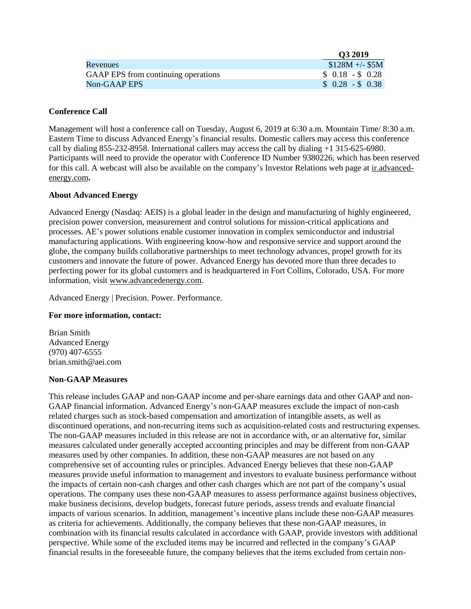|                                     | Q3 2019         |
|-------------------------------------|-----------------|
| Revenues                            | $$128M +/- $5M$ |
| GAAP EPS from continuing operations | $$0.18 - $0.28$ |
| Non-GAAP EPS                        | $$0.28 - $0.38$ |

### **Conference Call**

Management will host a conference call on Tuesday, August 6, 2019 at 6:30 a.m. Mountain Time/ 8:30 a.m. Eastern Time to discuss Advanced Energy's financial results. Domestic callers may access this conference call by dialing 855-232-8958. International callers may access the call by dialing +1 315-625-6980. Participants will need to provide the operator with Conference ID Number 9380226, which has been reserved for this call. A webcast will also be available on the company's Investor Relations web page at ir.advancedenergy.com**.**

### **About Advanced Energy**

Advanced Energy (Nasdaq: AEIS) is a global leader in the design and manufacturing of highly engineered, precision power conversion, measurement and control solutions for mission-critical applications and processes. AE's power solutions enable customer innovation in complex semiconductor and industrial manufacturing applications. With engineering know-how and responsive service and support around the globe, the company builds collaborative partnerships to meet technology advances, propel growth for its customers and innovate the future of power. Advanced Energy has devoted more than three decades to perfecting power for its global customers and is headquartered in Fort Collins, Colorado, USA. For more information, visit www.advancedenergy.com.

Advanced Energy | Precision. Power. Performance.

## **For more information, contact:**

Brian Smith Advanced Energy (970) 407-6555 brian.smith@aei.com

#### **Non-GAAP Measures**

This release includes GAAP and non-GAAP income and per-share earnings data and other GAAP and non-GAAP financial information. Advanced Energy's non-GAAP measures exclude the impact of non-cash related charges such as stock-based compensation and amortization of intangible assets, as well as discontinued operations, and non-recurring items such as acquisition-related costs and restructuring expenses. The non-GAAP measures included in this release are not in accordance with, or an alternative for, similar measures calculated under generally accepted accounting principles and may be different from non-GAAP measures used by other companies. In addition, these non-GAAP measures are not based on any comprehensive set of accounting rules or principles. Advanced Energy believes that these non-GAAP measures provide useful information to management and investors to evaluate business performance without the impacts of certain non-cash charges and other cash charges which are not part of the company's usual operations. The company uses these non-GAAP measures to assess performance against business objectives, make business decisions, develop budgets, forecast future periods, assess trends and evaluate financial impacts of various scenarios. In addition, management's incentive plans include these non-GAAP measures as criteria for achievements. Additionally, the company believes that these non-GAAP measures, in combination with its financial results calculated in accordance with GAAP, provide investors with additional perspective. While some of the excluded items may be incurred and reflected in the company's GAAP financial results in the foreseeable future, the company believes that the items excluded from certain non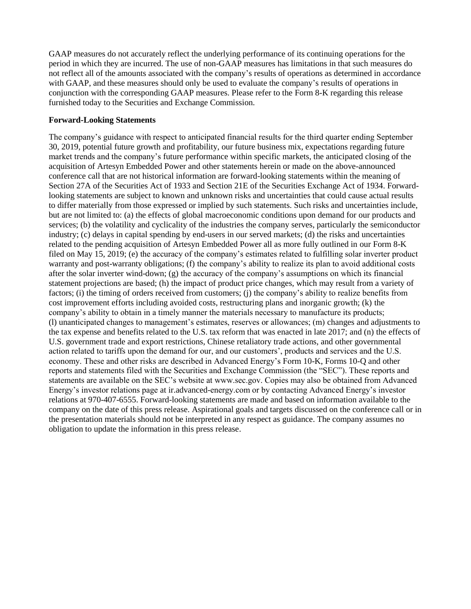GAAP measures do not accurately reflect the underlying performance of its continuing operations for the period in which they are incurred. The use of non-GAAP measures has limitations in that such measures do not reflect all of the amounts associated with the company's results of operations as determined in accordance with GAAP, and these measures should only be used to evaluate the company's results of operations in conjunction with the corresponding GAAP measures. Please refer to the Form 8-K regarding this release furnished today to the Securities and Exchange Commission.

## **Forward-Looking Statements**

The company's guidance with respect to anticipated financial results for the third quarter ending September 30, 2019, potential future growth and profitability, our future business mix, expectations regarding future market trends and the company's future performance within specific markets, the anticipated closing of the acquisition of Artesyn Embedded Power and other statements herein or made on the above-announced conference call that are not historical information are forward-looking statements within the meaning of Section 27A of the Securities Act of 1933 and Section 21E of the Securities Exchange Act of 1934. Forwardlooking statements are subject to known and unknown risks and uncertainties that could cause actual results to differ materially from those expressed or implied by such statements. Such risks and uncertainties include, but are not limited to: (a) the effects of global macroeconomic conditions upon demand for our products and services; (b) the volatility and cyclicality of the industries the company serves, particularly the semiconductor industry; (c) delays in capital spending by end-users in our served markets; (d) the risks and uncertainties related to the pending acquisition of Artesyn Embedded Power all as more fully outlined in our Form 8-K filed on May 15, 2019; (e) the accuracy of the company's estimates related to fulfilling solar inverter product warranty and post-warranty obligations; (f) the company's ability to realize its plan to avoid additional costs after the solar inverter wind-down; (g) the accuracy of the company's assumptions on which its financial statement projections are based; (h) the impact of product price changes, which may result from a variety of factors; (i) the timing of orders received from customers; (j) the company's ability to realize benefits from cost improvement efforts including avoided costs, restructuring plans and inorganic growth; (k) the company's ability to obtain in a timely manner the materials necessary to manufacture its products; (l) unanticipated changes to management's estimates, reserves or allowances; (m) changes and adjustments to the tax expense and benefits related to the U.S. tax reform that was enacted in late 2017; and (n) the effects of U.S. government trade and export restrictions, Chinese retaliatory trade actions, and other governmental action related to tariffs upon the demand for our, and our customers', products and services and the U.S. economy. These and other risks are described in Advanced Energy's Form 10-K, Forms 10-Q and other reports and statements filed with the Securities and Exchange Commission (the "SEC"). These reports and statements are available on the SEC's website at www.sec.gov. Copies may also be obtained from Advanced Energy's investor relations page at ir.advanced-energy.com or by contacting Advanced Energy's investor relations at 970-407-6555. Forward-looking statements are made and based on information available to the company on the date of this press release. Aspirational goals and targets discussed on the conference call or in the presentation materials should not be interpreted in any respect as guidance. The company assumes no obligation to update the information in this press release.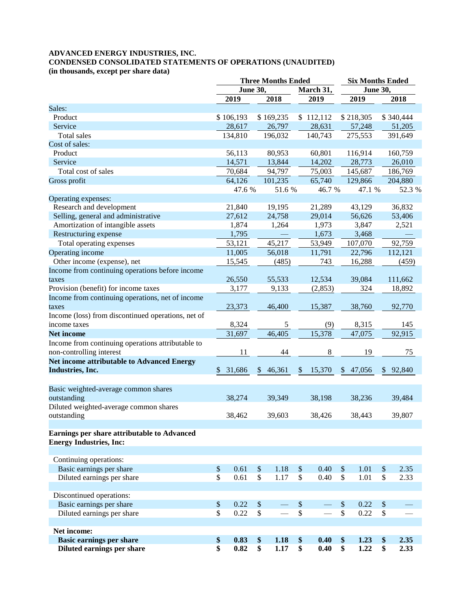## **ADVANCED ENERGY INDUSTRIES, INC. CONDENSED CONSOLIDATED STATEMENTS OF OPERATIONS (UNAUDITED)**

**(in thousands, except per share data)**

| <b>June 30,</b><br>March 31,<br><b>June 30,</b><br>2019<br>2019<br>2018<br>2019<br>2018<br>\$106,193<br>\$169,235<br>\$112,112<br>\$218,305<br>\$340,444<br>Product<br>28,617<br>26,797<br>28,631<br>57,248<br>51,205<br>Service<br>196,032<br>275,553<br>134,810<br>140,743<br>391,649<br>Total sales<br>Cost of sales:<br>Product<br>56,113<br>80,953<br>60,801<br>116,914<br>160,759<br>14,571<br>13,844<br>14,202<br>28,773<br>Service<br>26,010<br>Total cost of sales<br>94,797<br>75,003<br>70,684<br>145,687<br>186,769<br>101,235<br>64,126<br>65,740<br>129,866<br>204,880<br>Gross profit<br>47.6 %<br>51.6 %<br>46.7 %<br>47.1 %<br>52.3 %<br>Operating expenses:<br>Research and development<br>21,840<br>19,195<br>21,289<br>43,129<br>36,832<br>Selling, general and administrative<br>27,612<br>24,758<br>29,014<br>56,626<br>53,406<br>Amortization of intangible assets<br>3,847<br>1,874<br>1,264<br>1,973<br>2,521<br>Restructuring expense<br>1,795<br>1,673<br>3,468<br>45,217<br>Total operating expenses<br>53,121<br>53,949<br>107,070<br>92,759<br>11,005<br>22,796<br>112,121<br>Operating income<br>56,018<br>11,791<br>Other income (expense), net<br>15,545<br>16,288<br>(485)<br>743<br>(459)<br>Income from continuing operations before income<br>26,550<br>55,533<br>12,534<br>39,084<br>111,662<br>taxes<br>Provision (benefit) for income taxes<br>3,177<br>9,133<br>(2, 853)<br>324<br>18,892<br>Income from continuing operations, net of income<br>23,373<br>46,400<br>15,387<br>38,760<br>92,770<br>taxes<br>Income (loss) from discontinued operations, net of<br>8,324<br>$\sqrt{5}$<br>(9)<br>8,315<br>income taxes<br>145<br>15,378<br>46,405<br>31,697<br>47,075<br>92,915<br><b>Net income</b><br>Income from continuing operations attributable to<br>$\,8\,$<br>19<br>non-controlling interest<br>11<br>44<br>75<br><b>Net income attributable to Advanced Energy</b><br>Industries, Inc.<br>31,686<br>\$46,361<br>$\frac{1}{2}$<br>15,370<br>\$47,056<br>92,840<br>$\mathbb{S}$<br>$\mathbb{S}$<br>Basic weighted-average common shares<br>38,198<br>outstanding<br>38,274<br>39,349<br>38,236<br>39,484<br>Diluted weighted-average common shares<br>outstanding<br>38,462<br>39,603<br>38,426<br>38,443<br>39,807<br>Earnings per share attributable to Advanced<br><b>Energy Industries, Inc:</b><br>Continuing operations:<br>Basic earnings per share<br>$\$$<br>0.61<br>$\boldsymbol{\mathsf{S}}$<br>1.18<br>0.40<br>$\sqrt{\ }$<br>1.01<br>2.35<br>\$<br>\$<br>\$<br>\$<br>$\mathbb{S}$<br>$\mathbb{S}$<br>Diluted earnings per share<br>\$<br>0.40<br>0.61<br>1.17<br>1.01<br>2.33<br>Discontinued operations:<br>Basic earnings per share<br>$\$$<br>$\frac{1}{2}$<br>$\boldsymbol{\mathsf{S}}$<br>0.22<br>\$<br>0.22<br>$\mathcal{S}$<br>Diluted earnings per share<br>\$<br>$\mathbb{S}$<br>\$<br>\$<br>$\$$<br>0.22<br>0.22<br>Net income:<br><b>Basic earnings per share</b><br>0.83<br>\$<br>1.18<br>\$<br>0.40<br>1.23<br>2.35<br>\$<br>\$<br>\$<br>\$<br>\$<br>Diluted earnings per share<br>\$<br>\$<br>0.40<br>\$<br>1.22<br>0.82<br>1.17<br>2.33 |        | <b>Three Months Ended</b> |  |  |  |  |  | <b>Six Months Ended</b> |  |  |  |
|----------------------------------------------------------------------------------------------------------------------------------------------------------------------------------------------------------------------------------------------------------------------------------------------------------------------------------------------------------------------------------------------------------------------------------------------------------------------------------------------------------------------------------------------------------------------------------------------------------------------------------------------------------------------------------------------------------------------------------------------------------------------------------------------------------------------------------------------------------------------------------------------------------------------------------------------------------------------------------------------------------------------------------------------------------------------------------------------------------------------------------------------------------------------------------------------------------------------------------------------------------------------------------------------------------------------------------------------------------------------------------------------------------------------------------------------------------------------------------------------------------------------------------------------------------------------------------------------------------------------------------------------------------------------------------------------------------------------------------------------------------------------------------------------------------------------------------------------------------------------------------------------------------------------------------------------------------------------------------------------------------------------------------------------------------------------------------------------------------------------------------------------------------------------------------------------------------------------------------------------------------------------------------------------------------------------------------------------------------------------------------------------------------------------------------------------------------------------------------------------------------------------------------------------------------------------------------------------------------------------------------------------------------------------------------------------------------------------------------------------------------------------------------------------------------------------------------------------------------------------------------------------------------------------------------------------------------------------------------------------------------------------------------------------------------------------------------------------------------------------|--------|---------------------------|--|--|--|--|--|-------------------------|--|--|--|
|                                                                                                                                                                                                                                                                                                                                                                                                                                                                                                                                                                                                                                                                                                                                                                                                                                                                                                                                                                                                                                                                                                                                                                                                                                                                                                                                                                                                                                                                                                                                                                                                                                                                                                                                                                                                                                                                                                                                                                                                                                                                                                                                                                                                                                                                                                                                                                                                                                                                                                                                                                                                                                                                                                                                                                                                                                                                                                                                                                                                                                                                                                                      |        |                           |  |  |  |  |  |                         |  |  |  |
|                                                                                                                                                                                                                                                                                                                                                                                                                                                                                                                                                                                                                                                                                                                                                                                                                                                                                                                                                                                                                                                                                                                                                                                                                                                                                                                                                                                                                                                                                                                                                                                                                                                                                                                                                                                                                                                                                                                                                                                                                                                                                                                                                                                                                                                                                                                                                                                                                                                                                                                                                                                                                                                                                                                                                                                                                                                                                                                                                                                                                                                                                                                      |        |                           |  |  |  |  |  |                         |  |  |  |
|                                                                                                                                                                                                                                                                                                                                                                                                                                                                                                                                                                                                                                                                                                                                                                                                                                                                                                                                                                                                                                                                                                                                                                                                                                                                                                                                                                                                                                                                                                                                                                                                                                                                                                                                                                                                                                                                                                                                                                                                                                                                                                                                                                                                                                                                                                                                                                                                                                                                                                                                                                                                                                                                                                                                                                                                                                                                                                                                                                                                                                                                                                                      | Sales: |                           |  |  |  |  |  |                         |  |  |  |
|                                                                                                                                                                                                                                                                                                                                                                                                                                                                                                                                                                                                                                                                                                                                                                                                                                                                                                                                                                                                                                                                                                                                                                                                                                                                                                                                                                                                                                                                                                                                                                                                                                                                                                                                                                                                                                                                                                                                                                                                                                                                                                                                                                                                                                                                                                                                                                                                                                                                                                                                                                                                                                                                                                                                                                                                                                                                                                                                                                                                                                                                                                                      |        |                           |  |  |  |  |  |                         |  |  |  |
|                                                                                                                                                                                                                                                                                                                                                                                                                                                                                                                                                                                                                                                                                                                                                                                                                                                                                                                                                                                                                                                                                                                                                                                                                                                                                                                                                                                                                                                                                                                                                                                                                                                                                                                                                                                                                                                                                                                                                                                                                                                                                                                                                                                                                                                                                                                                                                                                                                                                                                                                                                                                                                                                                                                                                                                                                                                                                                                                                                                                                                                                                                                      |        |                           |  |  |  |  |  |                         |  |  |  |
|                                                                                                                                                                                                                                                                                                                                                                                                                                                                                                                                                                                                                                                                                                                                                                                                                                                                                                                                                                                                                                                                                                                                                                                                                                                                                                                                                                                                                                                                                                                                                                                                                                                                                                                                                                                                                                                                                                                                                                                                                                                                                                                                                                                                                                                                                                                                                                                                                                                                                                                                                                                                                                                                                                                                                                                                                                                                                                                                                                                                                                                                                                                      |        |                           |  |  |  |  |  |                         |  |  |  |
|                                                                                                                                                                                                                                                                                                                                                                                                                                                                                                                                                                                                                                                                                                                                                                                                                                                                                                                                                                                                                                                                                                                                                                                                                                                                                                                                                                                                                                                                                                                                                                                                                                                                                                                                                                                                                                                                                                                                                                                                                                                                                                                                                                                                                                                                                                                                                                                                                                                                                                                                                                                                                                                                                                                                                                                                                                                                                                                                                                                                                                                                                                                      |        |                           |  |  |  |  |  |                         |  |  |  |
|                                                                                                                                                                                                                                                                                                                                                                                                                                                                                                                                                                                                                                                                                                                                                                                                                                                                                                                                                                                                                                                                                                                                                                                                                                                                                                                                                                                                                                                                                                                                                                                                                                                                                                                                                                                                                                                                                                                                                                                                                                                                                                                                                                                                                                                                                                                                                                                                                                                                                                                                                                                                                                                                                                                                                                                                                                                                                                                                                                                                                                                                                                                      |        |                           |  |  |  |  |  |                         |  |  |  |
|                                                                                                                                                                                                                                                                                                                                                                                                                                                                                                                                                                                                                                                                                                                                                                                                                                                                                                                                                                                                                                                                                                                                                                                                                                                                                                                                                                                                                                                                                                                                                                                                                                                                                                                                                                                                                                                                                                                                                                                                                                                                                                                                                                                                                                                                                                                                                                                                                                                                                                                                                                                                                                                                                                                                                                                                                                                                                                                                                                                                                                                                                                                      |        |                           |  |  |  |  |  |                         |  |  |  |
|                                                                                                                                                                                                                                                                                                                                                                                                                                                                                                                                                                                                                                                                                                                                                                                                                                                                                                                                                                                                                                                                                                                                                                                                                                                                                                                                                                                                                                                                                                                                                                                                                                                                                                                                                                                                                                                                                                                                                                                                                                                                                                                                                                                                                                                                                                                                                                                                                                                                                                                                                                                                                                                                                                                                                                                                                                                                                                                                                                                                                                                                                                                      |        |                           |  |  |  |  |  |                         |  |  |  |
|                                                                                                                                                                                                                                                                                                                                                                                                                                                                                                                                                                                                                                                                                                                                                                                                                                                                                                                                                                                                                                                                                                                                                                                                                                                                                                                                                                                                                                                                                                                                                                                                                                                                                                                                                                                                                                                                                                                                                                                                                                                                                                                                                                                                                                                                                                                                                                                                                                                                                                                                                                                                                                                                                                                                                                                                                                                                                                                                                                                                                                                                                                                      |        |                           |  |  |  |  |  |                         |  |  |  |
|                                                                                                                                                                                                                                                                                                                                                                                                                                                                                                                                                                                                                                                                                                                                                                                                                                                                                                                                                                                                                                                                                                                                                                                                                                                                                                                                                                                                                                                                                                                                                                                                                                                                                                                                                                                                                                                                                                                                                                                                                                                                                                                                                                                                                                                                                                                                                                                                                                                                                                                                                                                                                                                                                                                                                                                                                                                                                                                                                                                                                                                                                                                      |        |                           |  |  |  |  |  |                         |  |  |  |
|                                                                                                                                                                                                                                                                                                                                                                                                                                                                                                                                                                                                                                                                                                                                                                                                                                                                                                                                                                                                                                                                                                                                                                                                                                                                                                                                                                                                                                                                                                                                                                                                                                                                                                                                                                                                                                                                                                                                                                                                                                                                                                                                                                                                                                                                                                                                                                                                                                                                                                                                                                                                                                                                                                                                                                                                                                                                                                                                                                                                                                                                                                                      |        |                           |  |  |  |  |  |                         |  |  |  |
|                                                                                                                                                                                                                                                                                                                                                                                                                                                                                                                                                                                                                                                                                                                                                                                                                                                                                                                                                                                                                                                                                                                                                                                                                                                                                                                                                                                                                                                                                                                                                                                                                                                                                                                                                                                                                                                                                                                                                                                                                                                                                                                                                                                                                                                                                                                                                                                                                                                                                                                                                                                                                                                                                                                                                                                                                                                                                                                                                                                                                                                                                                                      |        |                           |  |  |  |  |  |                         |  |  |  |
|                                                                                                                                                                                                                                                                                                                                                                                                                                                                                                                                                                                                                                                                                                                                                                                                                                                                                                                                                                                                                                                                                                                                                                                                                                                                                                                                                                                                                                                                                                                                                                                                                                                                                                                                                                                                                                                                                                                                                                                                                                                                                                                                                                                                                                                                                                                                                                                                                                                                                                                                                                                                                                                                                                                                                                                                                                                                                                                                                                                                                                                                                                                      |        |                           |  |  |  |  |  |                         |  |  |  |
|                                                                                                                                                                                                                                                                                                                                                                                                                                                                                                                                                                                                                                                                                                                                                                                                                                                                                                                                                                                                                                                                                                                                                                                                                                                                                                                                                                                                                                                                                                                                                                                                                                                                                                                                                                                                                                                                                                                                                                                                                                                                                                                                                                                                                                                                                                                                                                                                                                                                                                                                                                                                                                                                                                                                                                                                                                                                                                                                                                                                                                                                                                                      |        |                           |  |  |  |  |  |                         |  |  |  |
|                                                                                                                                                                                                                                                                                                                                                                                                                                                                                                                                                                                                                                                                                                                                                                                                                                                                                                                                                                                                                                                                                                                                                                                                                                                                                                                                                                                                                                                                                                                                                                                                                                                                                                                                                                                                                                                                                                                                                                                                                                                                                                                                                                                                                                                                                                                                                                                                                                                                                                                                                                                                                                                                                                                                                                                                                                                                                                                                                                                                                                                                                                                      |        |                           |  |  |  |  |  |                         |  |  |  |
|                                                                                                                                                                                                                                                                                                                                                                                                                                                                                                                                                                                                                                                                                                                                                                                                                                                                                                                                                                                                                                                                                                                                                                                                                                                                                                                                                                                                                                                                                                                                                                                                                                                                                                                                                                                                                                                                                                                                                                                                                                                                                                                                                                                                                                                                                                                                                                                                                                                                                                                                                                                                                                                                                                                                                                                                                                                                                                                                                                                                                                                                                                                      |        |                           |  |  |  |  |  |                         |  |  |  |
|                                                                                                                                                                                                                                                                                                                                                                                                                                                                                                                                                                                                                                                                                                                                                                                                                                                                                                                                                                                                                                                                                                                                                                                                                                                                                                                                                                                                                                                                                                                                                                                                                                                                                                                                                                                                                                                                                                                                                                                                                                                                                                                                                                                                                                                                                                                                                                                                                                                                                                                                                                                                                                                                                                                                                                                                                                                                                                                                                                                                                                                                                                                      |        |                           |  |  |  |  |  |                         |  |  |  |
|                                                                                                                                                                                                                                                                                                                                                                                                                                                                                                                                                                                                                                                                                                                                                                                                                                                                                                                                                                                                                                                                                                                                                                                                                                                                                                                                                                                                                                                                                                                                                                                                                                                                                                                                                                                                                                                                                                                                                                                                                                                                                                                                                                                                                                                                                                                                                                                                                                                                                                                                                                                                                                                                                                                                                                                                                                                                                                                                                                                                                                                                                                                      |        |                           |  |  |  |  |  |                         |  |  |  |
|                                                                                                                                                                                                                                                                                                                                                                                                                                                                                                                                                                                                                                                                                                                                                                                                                                                                                                                                                                                                                                                                                                                                                                                                                                                                                                                                                                                                                                                                                                                                                                                                                                                                                                                                                                                                                                                                                                                                                                                                                                                                                                                                                                                                                                                                                                                                                                                                                                                                                                                                                                                                                                                                                                                                                                                                                                                                                                                                                                                                                                                                                                                      |        |                           |  |  |  |  |  |                         |  |  |  |
|                                                                                                                                                                                                                                                                                                                                                                                                                                                                                                                                                                                                                                                                                                                                                                                                                                                                                                                                                                                                                                                                                                                                                                                                                                                                                                                                                                                                                                                                                                                                                                                                                                                                                                                                                                                                                                                                                                                                                                                                                                                                                                                                                                                                                                                                                                                                                                                                                                                                                                                                                                                                                                                                                                                                                                                                                                                                                                                                                                                                                                                                                                                      |        |                           |  |  |  |  |  |                         |  |  |  |
|                                                                                                                                                                                                                                                                                                                                                                                                                                                                                                                                                                                                                                                                                                                                                                                                                                                                                                                                                                                                                                                                                                                                                                                                                                                                                                                                                                                                                                                                                                                                                                                                                                                                                                                                                                                                                                                                                                                                                                                                                                                                                                                                                                                                                                                                                                                                                                                                                                                                                                                                                                                                                                                                                                                                                                                                                                                                                                                                                                                                                                                                                                                      |        |                           |  |  |  |  |  |                         |  |  |  |
|                                                                                                                                                                                                                                                                                                                                                                                                                                                                                                                                                                                                                                                                                                                                                                                                                                                                                                                                                                                                                                                                                                                                                                                                                                                                                                                                                                                                                                                                                                                                                                                                                                                                                                                                                                                                                                                                                                                                                                                                                                                                                                                                                                                                                                                                                                                                                                                                                                                                                                                                                                                                                                                                                                                                                                                                                                                                                                                                                                                                                                                                                                                      |        |                           |  |  |  |  |  |                         |  |  |  |
|                                                                                                                                                                                                                                                                                                                                                                                                                                                                                                                                                                                                                                                                                                                                                                                                                                                                                                                                                                                                                                                                                                                                                                                                                                                                                                                                                                                                                                                                                                                                                                                                                                                                                                                                                                                                                                                                                                                                                                                                                                                                                                                                                                                                                                                                                                                                                                                                                                                                                                                                                                                                                                                                                                                                                                                                                                                                                                                                                                                                                                                                                                                      |        |                           |  |  |  |  |  |                         |  |  |  |
|                                                                                                                                                                                                                                                                                                                                                                                                                                                                                                                                                                                                                                                                                                                                                                                                                                                                                                                                                                                                                                                                                                                                                                                                                                                                                                                                                                                                                                                                                                                                                                                                                                                                                                                                                                                                                                                                                                                                                                                                                                                                                                                                                                                                                                                                                                                                                                                                                                                                                                                                                                                                                                                                                                                                                                                                                                                                                                                                                                                                                                                                                                                      |        |                           |  |  |  |  |  |                         |  |  |  |
|                                                                                                                                                                                                                                                                                                                                                                                                                                                                                                                                                                                                                                                                                                                                                                                                                                                                                                                                                                                                                                                                                                                                                                                                                                                                                                                                                                                                                                                                                                                                                                                                                                                                                                                                                                                                                                                                                                                                                                                                                                                                                                                                                                                                                                                                                                                                                                                                                                                                                                                                                                                                                                                                                                                                                                                                                                                                                                                                                                                                                                                                                                                      |        |                           |  |  |  |  |  |                         |  |  |  |
|                                                                                                                                                                                                                                                                                                                                                                                                                                                                                                                                                                                                                                                                                                                                                                                                                                                                                                                                                                                                                                                                                                                                                                                                                                                                                                                                                                                                                                                                                                                                                                                                                                                                                                                                                                                                                                                                                                                                                                                                                                                                                                                                                                                                                                                                                                                                                                                                                                                                                                                                                                                                                                                                                                                                                                                                                                                                                                                                                                                                                                                                                                                      |        |                           |  |  |  |  |  |                         |  |  |  |
|                                                                                                                                                                                                                                                                                                                                                                                                                                                                                                                                                                                                                                                                                                                                                                                                                                                                                                                                                                                                                                                                                                                                                                                                                                                                                                                                                                                                                                                                                                                                                                                                                                                                                                                                                                                                                                                                                                                                                                                                                                                                                                                                                                                                                                                                                                                                                                                                                                                                                                                                                                                                                                                                                                                                                                                                                                                                                                                                                                                                                                                                                                                      |        |                           |  |  |  |  |  |                         |  |  |  |
|                                                                                                                                                                                                                                                                                                                                                                                                                                                                                                                                                                                                                                                                                                                                                                                                                                                                                                                                                                                                                                                                                                                                                                                                                                                                                                                                                                                                                                                                                                                                                                                                                                                                                                                                                                                                                                                                                                                                                                                                                                                                                                                                                                                                                                                                                                                                                                                                                                                                                                                                                                                                                                                                                                                                                                                                                                                                                                                                                                                                                                                                                                                      |        |                           |  |  |  |  |  |                         |  |  |  |
|                                                                                                                                                                                                                                                                                                                                                                                                                                                                                                                                                                                                                                                                                                                                                                                                                                                                                                                                                                                                                                                                                                                                                                                                                                                                                                                                                                                                                                                                                                                                                                                                                                                                                                                                                                                                                                                                                                                                                                                                                                                                                                                                                                                                                                                                                                                                                                                                                                                                                                                                                                                                                                                                                                                                                                                                                                                                                                                                                                                                                                                                                                                      |        |                           |  |  |  |  |  |                         |  |  |  |
|                                                                                                                                                                                                                                                                                                                                                                                                                                                                                                                                                                                                                                                                                                                                                                                                                                                                                                                                                                                                                                                                                                                                                                                                                                                                                                                                                                                                                                                                                                                                                                                                                                                                                                                                                                                                                                                                                                                                                                                                                                                                                                                                                                                                                                                                                                                                                                                                                                                                                                                                                                                                                                                                                                                                                                                                                                                                                                                                                                                                                                                                                                                      |        |                           |  |  |  |  |  |                         |  |  |  |
|                                                                                                                                                                                                                                                                                                                                                                                                                                                                                                                                                                                                                                                                                                                                                                                                                                                                                                                                                                                                                                                                                                                                                                                                                                                                                                                                                                                                                                                                                                                                                                                                                                                                                                                                                                                                                                                                                                                                                                                                                                                                                                                                                                                                                                                                                                                                                                                                                                                                                                                                                                                                                                                                                                                                                                                                                                                                                                                                                                                                                                                                                                                      |        |                           |  |  |  |  |  |                         |  |  |  |
|                                                                                                                                                                                                                                                                                                                                                                                                                                                                                                                                                                                                                                                                                                                                                                                                                                                                                                                                                                                                                                                                                                                                                                                                                                                                                                                                                                                                                                                                                                                                                                                                                                                                                                                                                                                                                                                                                                                                                                                                                                                                                                                                                                                                                                                                                                                                                                                                                                                                                                                                                                                                                                                                                                                                                                                                                                                                                                                                                                                                                                                                                                                      |        |                           |  |  |  |  |  |                         |  |  |  |
|                                                                                                                                                                                                                                                                                                                                                                                                                                                                                                                                                                                                                                                                                                                                                                                                                                                                                                                                                                                                                                                                                                                                                                                                                                                                                                                                                                                                                                                                                                                                                                                                                                                                                                                                                                                                                                                                                                                                                                                                                                                                                                                                                                                                                                                                                                                                                                                                                                                                                                                                                                                                                                                                                                                                                                                                                                                                                                                                                                                                                                                                                                                      |        |                           |  |  |  |  |  |                         |  |  |  |
|                                                                                                                                                                                                                                                                                                                                                                                                                                                                                                                                                                                                                                                                                                                                                                                                                                                                                                                                                                                                                                                                                                                                                                                                                                                                                                                                                                                                                                                                                                                                                                                                                                                                                                                                                                                                                                                                                                                                                                                                                                                                                                                                                                                                                                                                                                                                                                                                                                                                                                                                                                                                                                                                                                                                                                                                                                                                                                                                                                                                                                                                                                                      |        |                           |  |  |  |  |  |                         |  |  |  |
|                                                                                                                                                                                                                                                                                                                                                                                                                                                                                                                                                                                                                                                                                                                                                                                                                                                                                                                                                                                                                                                                                                                                                                                                                                                                                                                                                                                                                                                                                                                                                                                                                                                                                                                                                                                                                                                                                                                                                                                                                                                                                                                                                                                                                                                                                                                                                                                                                                                                                                                                                                                                                                                                                                                                                                                                                                                                                                                                                                                                                                                                                                                      |        |                           |  |  |  |  |  |                         |  |  |  |
|                                                                                                                                                                                                                                                                                                                                                                                                                                                                                                                                                                                                                                                                                                                                                                                                                                                                                                                                                                                                                                                                                                                                                                                                                                                                                                                                                                                                                                                                                                                                                                                                                                                                                                                                                                                                                                                                                                                                                                                                                                                                                                                                                                                                                                                                                                                                                                                                                                                                                                                                                                                                                                                                                                                                                                                                                                                                                                                                                                                                                                                                                                                      |        |                           |  |  |  |  |  |                         |  |  |  |
|                                                                                                                                                                                                                                                                                                                                                                                                                                                                                                                                                                                                                                                                                                                                                                                                                                                                                                                                                                                                                                                                                                                                                                                                                                                                                                                                                                                                                                                                                                                                                                                                                                                                                                                                                                                                                                                                                                                                                                                                                                                                                                                                                                                                                                                                                                                                                                                                                                                                                                                                                                                                                                                                                                                                                                                                                                                                                                                                                                                                                                                                                                                      |        |                           |  |  |  |  |  |                         |  |  |  |
|                                                                                                                                                                                                                                                                                                                                                                                                                                                                                                                                                                                                                                                                                                                                                                                                                                                                                                                                                                                                                                                                                                                                                                                                                                                                                                                                                                                                                                                                                                                                                                                                                                                                                                                                                                                                                                                                                                                                                                                                                                                                                                                                                                                                                                                                                                                                                                                                                                                                                                                                                                                                                                                                                                                                                                                                                                                                                                                                                                                                                                                                                                                      |        |                           |  |  |  |  |  |                         |  |  |  |
|                                                                                                                                                                                                                                                                                                                                                                                                                                                                                                                                                                                                                                                                                                                                                                                                                                                                                                                                                                                                                                                                                                                                                                                                                                                                                                                                                                                                                                                                                                                                                                                                                                                                                                                                                                                                                                                                                                                                                                                                                                                                                                                                                                                                                                                                                                                                                                                                                                                                                                                                                                                                                                                                                                                                                                                                                                                                                                                                                                                                                                                                                                                      |        |                           |  |  |  |  |  |                         |  |  |  |
|                                                                                                                                                                                                                                                                                                                                                                                                                                                                                                                                                                                                                                                                                                                                                                                                                                                                                                                                                                                                                                                                                                                                                                                                                                                                                                                                                                                                                                                                                                                                                                                                                                                                                                                                                                                                                                                                                                                                                                                                                                                                                                                                                                                                                                                                                                                                                                                                                                                                                                                                                                                                                                                                                                                                                                                                                                                                                                                                                                                                                                                                                                                      |        |                           |  |  |  |  |  |                         |  |  |  |
|                                                                                                                                                                                                                                                                                                                                                                                                                                                                                                                                                                                                                                                                                                                                                                                                                                                                                                                                                                                                                                                                                                                                                                                                                                                                                                                                                                                                                                                                                                                                                                                                                                                                                                                                                                                                                                                                                                                                                                                                                                                                                                                                                                                                                                                                                                                                                                                                                                                                                                                                                                                                                                                                                                                                                                                                                                                                                                                                                                                                                                                                                                                      |        |                           |  |  |  |  |  |                         |  |  |  |
|                                                                                                                                                                                                                                                                                                                                                                                                                                                                                                                                                                                                                                                                                                                                                                                                                                                                                                                                                                                                                                                                                                                                                                                                                                                                                                                                                                                                                                                                                                                                                                                                                                                                                                                                                                                                                                                                                                                                                                                                                                                                                                                                                                                                                                                                                                                                                                                                                                                                                                                                                                                                                                                                                                                                                                                                                                                                                                                                                                                                                                                                                                                      |        |                           |  |  |  |  |  |                         |  |  |  |
|                                                                                                                                                                                                                                                                                                                                                                                                                                                                                                                                                                                                                                                                                                                                                                                                                                                                                                                                                                                                                                                                                                                                                                                                                                                                                                                                                                                                                                                                                                                                                                                                                                                                                                                                                                                                                                                                                                                                                                                                                                                                                                                                                                                                                                                                                                                                                                                                                                                                                                                                                                                                                                                                                                                                                                                                                                                                                                                                                                                                                                                                                                                      |        |                           |  |  |  |  |  |                         |  |  |  |
|                                                                                                                                                                                                                                                                                                                                                                                                                                                                                                                                                                                                                                                                                                                                                                                                                                                                                                                                                                                                                                                                                                                                                                                                                                                                                                                                                                                                                                                                                                                                                                                                                                                                                                                                                                                                                                                                                                                                                                                                                                                                                                                                                                                                                                                                                                                                                                                                                                                                                                                                                                                                                                                                                                                                                                                                                                                                                                                                                                                                                                                                                                                      |        |                           |  |  |  |  |  |                         |  |  |  |
|                                                                                                                                                                                                                                                                                                                                                                                                                                                                                                                                                                                                                                                                                                                                                                                                                                                                                                                                                                                                                                                                                                                                                                                                                                                                                                                                                                                                                                                                                                                                                                                                                                                                                                                                                                                                                                                                                                                                                                                                                                                                                                                                                                                                                                                                                                                                                                                                                                                                                                                                                                                                                                                                                                                                                                                                                                                                                                                                                                                                                                                                                                                      |        |                           |  |  |  |  |  |                         |  |  |  |
|                                                                                                                                                                                                                                                                                                                                                                                                                                                                                                                                                                                                                                                                                                                                                                                                                                                                                                                                                                                                                                                                                                                                                                                                                                                                                                                                                                                                                                                                                                                                                                                                                                                                                                                                                                                                                                                                                                                                                                                                                                                                                                                                                                                                                                                                                                                                                                                                                                                                                                                                                                                                                                                                                                                                                                                                                                                                                                                                                                                                                                                                                                                      |        |                           |  |  |  |  |  |                         |  |  |  |
|                                                                                                                                                                                                                                                                                                                                                                                                                                                                                                                                                                                                                                                                                                                                                                                                                                                                                                                                                                                                                                                                                                                                                                                                                                                                                                                                                                                                                                                                                                                                                                                                                                                                                                                                                                                                                                                                                                                                                                                                                                                                                                                                                                                                                                                                                                                                                                                                                                                                                                                                                                                                                                                                                                                                                                                                                                                                                                                                                                                                                                                                                                                      |        |                           |  |  |  |  |  |                         |  |  |  |
|                                                                                                                                                                                                                                                                                                                                                                                                                                                                                                                                                                                                                                                                                                                                                                                                                                                                                                                                                                                                                                                                                                                                                                                                                                                                                                                                                                                                                                                                                                                                                                                                                                                                                                                                                                                                                                                                                                                                                                                                                                                                                                                                                                                                                                                                                                                                                                                                                                                                                                                                                                                                                                                                                                                                                                                                                                                                                                                                                                                                                                                                                                                      |        |                           |  |  |  |  |  |                         |  |  |  |
|                                                                                                                                                                                                                                                                                                                                                                                                                                                                                                                                                                                                                                                                                                                                                                                                                                                                                                                                                                                                                                                                                                                                                                                                                                                                                                                                                                                                                                                                                                                                                                                                                                                                                                                                                                                                                                                                                                                                                                                                                                                                                                                                                                                                                                                                                                                                                                                                                                                                                                                                                                                                                                                                                                                                                                                                                                                                                                                                                                                                                                                                                                                      |        |                           |  |  |  |  |  |                         |  |  |  |
|                                                                                                                                                                                                                                                                                                                                                                                                                                                                                                                                                                                                                                                                                                                                                                                                                                                                                                                                                                                                                                                                                                                                                                                                                                                                                                                                                                                                                                                                                                                                                                                                                                                                                                                                                                                                                                                                                                                                                                                                                                                                                                                                                                                                                                                                                                                                                                                                                                                                                                                                                                                                                                                                                                                                                                                                                                                                                                                                                                                                                                                                                                                      |        |                           |  |  |  |  |  |                         |  |  |  |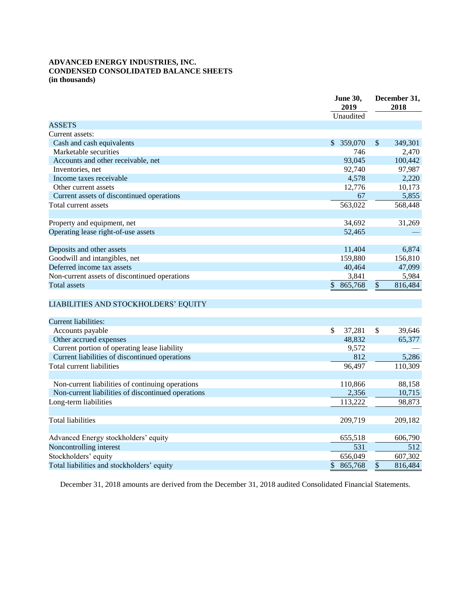### **ADVANCED ENERGY INDUSTRIES, INC. CONDENSED CONSOLIDATED BALANCE SHEETS (in thousands)**

| Unaudited<br>Cash and cash equivalents<br>359,070<br>$\mathcal{S}$<br>$\mathbb{S}$<br>349,301<br>Marketable securities<br>746<br>2,470<br>93,045<br>100,442<br>Accounts and other receivable, net<br>92,740<br>97,987<br>Inventories, net<br>4,578<br>2,220<br>Income taxes receivable<br>10,173<br>12,776<br>Other current assets<br>Current assets of discontinued operations<br>5,855<br>67<br>563,022<br>568,448<br>Total current assets<br>34,692<br>31,269<br>Operating lease right-of-use assets<br>52,465<br>Deposits and other assets<br>11,404<br>6,874<br>Goodwill and intangibles, net<br>159,880<br>156,810<br>40,464<br>47,099<br>3,841<br>5,984<br>\$<br>\$<br><b>Total assets</b><br>865,768<br>816,484<br>LIABILITIES AND STOCKHOLDERS' EQUITY<br><b>Current liabilities:</b><br>\$<br>\$<br>Accounts payable<br>37,281<br>39,646<br>48,832<br>Other accrued expenses<br>65,377<br>Current portion of operating lease liability<br>9,572<br>Current liabilities of discontinued operations<br>812<br>5,286<br>Total current liabilities<br>110,309<br>96,497<br>110,866<br>88,158<br>Non-current liabilities of continuing operations<br>2,356<br>Non-current liabilities of discontinued operations<br>10,715<br>98,873<br>113,222<br>Long-term liabilities<br><b>Total liabilities</b><br>209,719<br>209,182 |                                               | June 30,<br>2019 | December 31,<br>2018 |  |  |
|---------------------------------------------------------------------------------------------------------------------------------------------------------------------------------------------------------------------------------------------------------------------------------------------------------------------------------------------------------------------------------------------------------------------------------------------------------------------------------------------------------------------------------------------------------------------------------------------------------------------------------------------------------------------------------------------------------------------------------------------------------------------------------------------------------------------------------------------------------------------------------------------------------------------------------------------------------------------------------------------------------------------------------------------------------------------------------------------------------------------------------------------------------------------------------------------------------------------------------------------------------------------------------------------------------------------------------|-----------------------------------------------|------------------|----------------------|--|--|
|                                                                                                                                                                                                                                                                                                                                                                                                                                                                                                                                                                                                                                                                                                                                                                                                                                                                                                                                                                                                                                                                                                                                                                                                                                                                                                                                 |                                               |                  |                      |  |  |
|                                                                                                                                                                                                                                                                                                                                                                                                                                                                                                                                                                                                                                                                                                                                                                                                                                                                                                                                                                                                                                                                                                                                                                                                                                                                                                                                 | <b>ASSETS</b>                                 |                  |                      |  |  |
|                                                                                                                                                                                                                                                                                                                                                                                                                                                                                                                                                                                                                                                                                                                                                                                                                                                                                                                                                                                                                                                                                                                                                                                                                                                                                                                                 | Current assets:                               |                  |                      |  |  |
|                                                                                                                                                                                                                                                                                                                                                                                                                                                                                                                                                                                                                                                                                                                                                                                                                                                                                                                                                                                                                                                                                                                                                                                                                                                                                                                                 |                                               |                  |                      |  |  |
|                                                                                                                                                                                                                                                                                                                                                                                                                                                                                                                                                                                                                                                                                                                                                                                                                                                                                                                                                                                                                                                                                                                                                                                                                                                                                                                                 |                                               |                  |                      |  |  |
|                                                                                                                                                                                                                                                                                                                                                                                                                                                                                                                                                                                                                                                                                                                                                                                                                                                                                                                                                                                                                                                                                                                                                                                                                                                                                                                                 |                                               |                  |                      |  |  |
|                                                                                                                                                                                                                                                                                                                                                                                                                                                                                                                                                                                                                                                                                                                                                                                                                                                                                                                                                                                                                                                                                                                                                                                                                                                                                                                                 |                                               |                  |                      |  |  |
|                                                                                                                                                                                                                                                                                                                                                                                                                                                                                                                                                                                                                                                                                                                                                                                                                                                                                                                                                                                                                                                                                                                                                                                                                                                                                                                                 |                                               |                  |                      |  |  |
|                                                                                                                                                                                                                                                                                                                                                                                                                                                                                                                                                                                                                                                                                                                                                                                                                                                                                                                                                                                                                                                                                                                                                                                                                                                                                                                                 |                                               |                  |                      |  |  |
|                                                                                                                                                                                                                                                                                                                                                                                                                                                                                                                                                                                                                                                                                                                                                                                                                                                                                                                                                                                                                                                                                                                                                                                                                                                                                                                                 |                                               |                  |                      |  |  |
|                                                                                                                                                                                                                                                                                                                                                                                                                                                                                                                                                                                                                                                                                                                                                                                                                                                                                                                                                                                                                                                                                                                                                                                                                                                                                                                                 |                                               |                  |                      |  |  |
|                                                                                                                                                                                                                                                                                                                                                                                                                                                                                                                                                                                                                                                                                                                                                                                                                                                                                                                                                                                                                                                                                                                                                                                                                                                                                                                                 |                                               |                  |                      |  |  |
|                                                                                                                                                                                                                                                                                                                                                                                                                                                                                                                                                                                                                                                                                                                                                                                                                                                                                                                                                                                                                                                                                                                                                                                                                                                                                                                                 | Property and equipment, net                   |                  |                      |  |  |
|                                                                                                                                                                                                                                                                                                                                                                                                                                                                                                                                                                                                                                                                                                                                                                                                                                                                                                                                                                                                                                                                                                                                                                                                                                                                                                                                 |                                               |                  |                      |  |  |
|                                                                                                                                                                                                                                                                                                                                                                                                                                                                                                                                                                                                                                                                                                                                                                                                                                                                                                                                                                                                                                                                                                                                                                                                                                                                                                                                 |                                               |                  |                      |  |  |
|                                                                                                                                                                                                                                                                                                                                                                                                                                                                                                                                                                                                                                                                                                                                                                                                                                                                                                                                                                                                                                                                                                                                                                                                                                                                                                                                 |                                               |                  |                      |  |  |
|                                                                                                                                                                                                                                                                                                                                                                                                                                                                                                                                                                                                                                                                                                                                                                                                                                                                                                                                                                                                                                                                                                                                                                                                                                                                                                                                 |                                               |                  |                      |  |  |
|                                                                                                                                                                                                                                                                                                                                                                                                                                                                                                                                                                                                                                                                                                                                                                                                                                                                                                                                                                                                                                                                                                                                                                                                                                                                                                                                 | Deferred income tax assets                    |                  |                      |  |  |
|                                                                                                                                                                                                                                                                                                                                                                                                                                                                                                                                                                                                                                                                                                                                                                                                                                                                                                                                                                                                                                                                                                                                                                                                                                                                                                                                 | Non-current assets of discontinued operations |                  |                      |  |  |
|                                                                                                                                                                                                                                                                                                                                                                                                                                                                                                                                                                                                                                                                                                                                                                                                                                                                                                                                                                                                                                                                                                                                                                                                                                                                                                                                 |                                               |                  |                      |  |  |
|                                                                                                                                                                                                                                                                                                                                                                                                                                                                                                                                                                                                                                                                                                                                                                                                                                                                                                                                                                                                                                                                                                                                                                                                                                                                                                                                 |                                               |                  |                      |  |  |
|                                                                                                                                                                                                                                                                                                                                                                                                                                                                                                                                                                                                                                                                                                                                                                                                                                                                                                                                                                                                                                                                                                                                                                                                                                                                                                                                 |                                               |                  |                      |  |  |
|                                                                                                                                                                                                                                                                                                                                                                                                                                                                                                                                                                                                                                                                                                                                                                                                                                                                                                                                                                                                                                                                                                                                                                                                                                                                                                                                 |                                               |                  |                      |  |  |
|                                                                                                                                                                                                                                                                                                                                                                                                                                                                                                                                                                                                                                                                                                                                                                                                                                                                                                                                                                                                                                                                                                                                                                                                                                                                                                                                 |                                               |                  |                      |  |  |
|                                                                                                                                                                                                                                                                                                                                                                                                                                                                                                                                                                                                                                                                                                                                                                                                                                                                                                                                                                                                                                                                                                                                                                                                                                                                                                                                 |                                               |                  |                      |  |  |
|                                                                                                                                                                                                                                                                                                                                                                                                                                                                                                                                                                                                                                                                                                                                                                                                                                                                                                                                                                                                                                                                                                                                                                                                                                                                                                                                 |                                               |                  |                      |  |  |
|                                                                                                                                                                                                                                                                                                                                                                                                                                                                                                                                                                                                                                                                                                                                                                                                                                                                                                                                                                                                                                                                                                                                                                                                                                                                                                                                 |                                               |                  |                      |  |  |
|                                                                                                                                                                                                                                                                                                                                                                                                                                                                                                                                                                                                                                                                                                                                                                                                                                                                                                                                                                                                                                                                                                                                                                                                                                                                                                                                 |                                               |                  |                      |  |  |
|                                                                                                                                                                                                                                                                                                                                                                                                                                                                                                                                                                                                                                                                                                                                                                                                                                                                                                                                                                                                                                                                                                                                                                                                                                                                                                                                 |                                               |                  |                      |  |  |
|                                                                                                                                                                                                                                                                                                                                                                                                                                                                                                                                                                                                                                                                                                                                                                                                                                                                                                                                                                                                                                                                                                                                                                                                                                                                                                                                 |                                               |                  |                      |  |  |
|                                                                                                                                                                                                                                                                                                                                                                                                                                                                                                                                                                                                                                                                                                                                                                                                                                                                                                                                                                                                                                                                                                                                                                                                                                                                                                                                 |                                               |                  |                      |  |  |
|                                                                                                                                                                                                                                                                                                                                                                                                                                                                                                                                                                                                                                                                                                                                                                                                                                                                                                                                                                                                                                                                                                                                                                                                                                                                                                                                 |                                               |                  |                      |  |  |
|                                                                                                                                                                                                                                                                                                                                                                                                                                                                                                                                                                                                                                                                                                                                                                                                                                                                                                                                                                                                                                                                                                                                                                                                                                                                                                                                 |                                               |                  |                      |  |  |
|                                                                                                                                                                                                                                                                                                                                                                                                                                                                                                                                                                                                                                                                                                                                                                                                                                                                                                                                                                                                                                                                                                                                                                                                                                                                                                                                 |                                               |                  |                      |  |  |
|                                                                                                                                                                                                                                                                                                                                                                                                                                                                                                                                                                                                                                                                                                                                                                                                                                                                                                                                                                                                                                                                                                                                                                                                                                                                                                                                 |                                               |                  |                      |  |  |
|                                                                                                                                                                                                                                                                                                                                                                                                                                                                                                                                                                                                                                                                                                                                                                                                                                                                                                                                                                                                                                                                                                                                                                                                                                                                                                                                 |                                               |                  |                      |  |  |
| 655,518<br>Advanced Energy stockholders' equity<br>606,790                                                                                                                                                                                                                                                                                                                                                                                                                                                                                                                                                                                                                                                                                                                                                                                                                                                                                                                                                                                                                                                                                                                                                                                                                                                                      |                                               |                  |                      |  |  |
| 531<br>512                                                                                                                                                                                                                                                                                                                                                                                                                                                                                                                                                                                                                                                                                                                                                                                                                                                                                                                                                                                                                                                                                                                                                                                                                                                                                                                      | Noncontrolling interest                       |                  |                      |  |  |
| 656,049<br>607,302                                                                                                                                                                                                                                                                                                                                                                                                                                                                                                                                                                                                                                                                                                                                                                                                                                                                                                                                                                                                                                                                                                                                                                                                                                                                                                              | Stockholders' equity                          |                  |                      |  |  |
| \$<br>\$<br>Total liabilities and stockholders' equity<br>865,768<br>816,484                                                                                                                                                                                                                                                                                                                                                                                                                                                                                                                                                                                                                                                                                                                                                                                                                                                                                                                                                                                                                                                                                                                                                                                                                                                    |                                               |                  |                      |  |  |

December 31, 2018 amounts are derived from the December 31, 2018 audited Consolidated Financial Statements.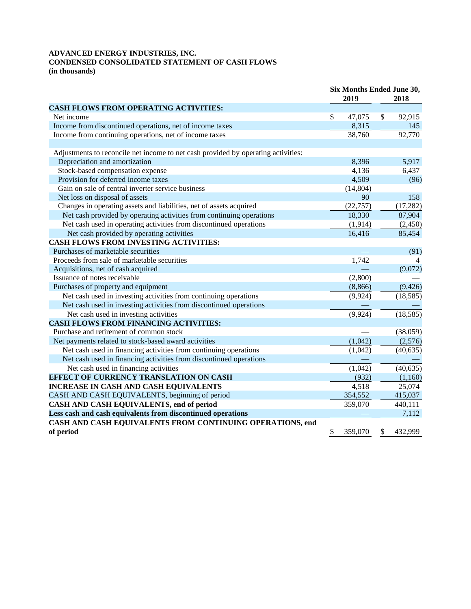# **ADVANCED ENERGY INDUSTRIES, INC. CONDENSED CONSOLIDATED STATEMENT OF CASH FLOWS**

**(in thousands)**

|                                                                                   | Six Months Ended June 30, |           |    |           |
|-----------------------------------------------------------------------------------|---------------------------|-----------|----|-----------|
|                                                                                   |                           | 2019      |    | 2018      |
| <b>CASH FLOWS FROM OPERATING ACTIVITIES:</b>                                      |                           |           |    |           |
| Net income                                                                        | \$                        | 47,075    | \$ | 92,915    |
| Income from discontinued operations, net of income taxes                          |                           | 8,315     |    | 145       |
| Income from continuing operations, net of income taxes                            |                           | 38,760    |    | 92,770    |
|                                                                                   |                           |           |    |           |
| Adjustments to reconcile net income to net cash provided by operating activities: |                           |           |    |           |
| Depreciation and amortization                                                     |                           | 8,396     |    | 5,917     |
| Stock-based compensation expense                                                  |                           | 4,136     |    | 6,437     |
| Provision for deferred income taxes                                               |                           | 4,509     |    | (96)      |
| Gain on sale of central inverter service business                                 |                           | (14, 804) |    |           |
| Net loss on disposal of assets                                                    |                           | 90        |    | 158       |
| Changes in operating assets and liabilities, net of assets acquired               |                           | (22, 757) |    | (17, 282) |
| Net cash provided by operating activities from continuing operations              |                           | 18,330    |    | 87,904    |
| Net cash used in operating activities from discontinued operations                |                           | (1, 914)  |    | (2,450)   |
| Net cash provided by operating activities                                         |                           | 16,416    |    | 85,454    |
| <b>CASH FLOWS FROM INVESTING ACTIVITIES:</b>                                      |                           |           |    |           |
| Purchases of marketable securities                                                |                           |           |    | (91)      |
| Proceeds from sale of marketable securities                                       |                           | 1,742     |    | 4         |
| Acquisitions, net of cash acquired                                                |                           |           |    | (9,072)   |
| Issuance of notes receivable                                                      |                           | (2,800)   |    |           |
| Purchases of property and equipment                                               |                           | (8, 866)  |    | (9, 426)  |
| Net cash used in investing activities from continuing operations                  |                           | (9, 924)  |    | (18, 585) |
| Net cash used in investing activities from discontinued operations                |                           |           |    |           |
| Net cash used in investing activities                                             |                           | (9, 924)  |    | (18, 585) |
| <b>CASH FLOWS FROM FINANCING ACTIVITIES:</b>                                      |                           |           |    |           |
| Purchase and retirement of common stock                                           |                           |           |    | (38,059)  |
| Net payments related to stock-based award activities                              |                           | (1,042)   |    | (2,576)   |
| Net cash used in financing activities from continuing operations                  |                           | (1,042)   |    | (40, 635) |
| Net cash used in financing activities from discontinued operations                |                           |           |    |           |
| Net cash used in financing activities                                             |                           | (1,042)   |    | (40, 635) |
| <b>EFFECT OF CURRENCY TRANSLATION ON CASH</b>                                     |                           | (932)     |    | (1,160)   |
| <b>INCREASE IN CASH AND CASH EQUIVALENTS</b>                                      |                           | 4,518     |    | 25,074    |
| CASH AND CASH EQUIVALENTS, beginning of period                                    |                           | 354,552   |    | 415,037   |
| CASH AND CASH EQUIVALENTS, end of period                                          |                           | 359,070   |    | 440,111   |
| Less cash and cash equivalents from discontinued operations                       |                           |           |    | 7,112     |
| CASH AND CASH EQUIVALENTS FROM CONTINUING OPERATIONS, end                         |                           |           |    |           |
| of period                                                                         | \$                        | 359,070   | \$ | 432,999   |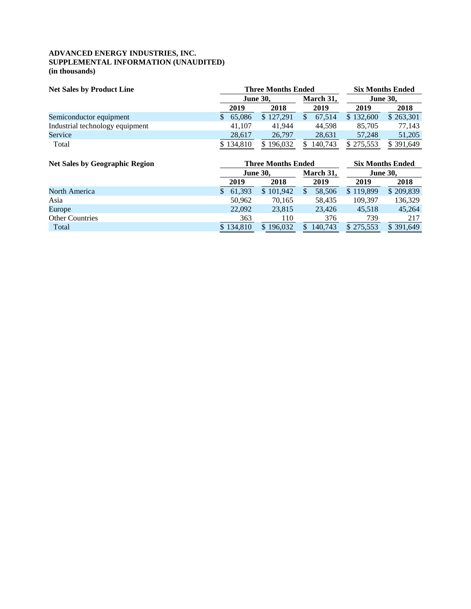### **ADVANCED ENERGY INDUSTRIES, INC. SUPPLEMENTAL INFORMATION (UNAUDITED) (in thousands)**

| <b>Net Sales by Product Line</b> | <b>Three Months Ended</b> |           | <b>Six Months Ended</b> |                 |           |  |
|----------------------------------|---------------------------|-----------|-------------------------|-----------------|-----------|--|
|                                  | <b>June 30,</b>           |           | March 31,               | <b>June 30,</b> |           |  |
|                                  | 2019                      | 2018      | 2019                    | 2019            | 2018      |  |
| Semiconductor equipment          | 65,086                    | \$127,291 | 67,514                  | \$132,600       | \$263,301 |  |
| Industrial technology equipment  | 41.107                    | 41,944    | 44.598                  | 85,705          | 77.143    |  |
| Service                          | 28,617                    | 26,797    | 28,631                  | 57,248          | 51,205    |  |
| Total                            | \$134,810                 | \$196,032 | 140,743                 | \$275,553       | \$391,649 |  |
|                                  |                           |           |                         |                 |           |  |

| <b>Net Sales by Geographic Region</b> |           | <b>Three Months Ended</b> | <b>Six Months Ended</b> |                 |           |  |
|---------------------------------------|-----------|---------------------------|-------------------------|-----------------|-----------|--|
|                                       |           | <b>June 30.</b>           | March 31,               | <b>June 30.</b> |           |  |
|                                       | 2019      | 2018                      | 2019                    | 2019            | 2018      |  |
| North America                         | 61.393    | \$101,942                 | 58,506                  | \$119,899       | \$209,839 |  |
| Asia                                  | 50,962    | 70.165                    | 58.435                  | 109.397         | 136,329   |  |
| Europe                                | 22,092    | 23,815                    | 23.426                  | 45,518          | 45,264    |  |
| <b>Other Countries</b>                | 363       | 110                       | 376                     | 739             | 217       |  |
| Total                                 | \$134,810 | 196.032                   | 140.743                 | \$275.553       | \$391.649 |  |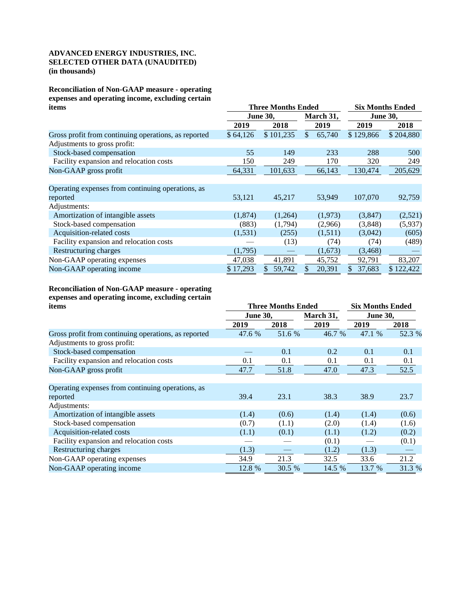#### **ADVANCED ENERGY INDUSTRIES, INC. SELECTED OTHER DATA (UNAUDITED) (in thousands)**

**Reconciliation of Non-GAAP measure - operating expenses and operating income, excluding certain** 

| items                                                |          | <b>Three Months Ended</b> | <b>Six Months Ended</b> |           |                 |           |  |
|------------------------------------------------------|----------|---------------------------|-------------------------|-----------|-----------------|-----------|--|
|                                                      |          | <b>June 30,</b>           |                         | March 31, | <b>June 30,</b> |           |  |
|                                                      | 2019     | 2018                      |                         | 2019      | 2019            | 2018      |  |
| Gross profit from continuing operations, as reported | \$64,126 | \$101,235                 | $\mathcal{S}$           | 65,740    | \$129,866       | \$204,880 |  |
| Adjustments to gross profit:                         |          |                           |                         |           |                 |           |  |
| Stock-based compensation                             | 55       | 149                       |                         | 233       | 288             | 500       |  |
| Facility expansion and relocation costs              | 150      | 249                       |                         | 170       | 320             | 249       |  |
| Non-GAAP gross profit                                | 64,331   | 101,633                   |                         | 66,143    | 130,474         | 205,629   |  |
|                                                      |          |                           |                         |           |                 |           |  |
| Operating expenses from continuing operations, as    |          |                           |                         |           |                 |           |  |
| reported                                             | 53,121   | 45,217                    |                         | 53,949    | 107,070         | 92,759    |  |
| Adjustments:                                         |          |                           |                         |           |                 |           |  |
| Amortization of intangible assets                    | (1,874)  | (1,264)                   |                         | (1,973)   | (3,847)         | (2,521)   |  |
| Stock-based compensation                             | (883)    | (1,794)                   |                         | (2,966)   | (3,848)         | (5,937)   |  |
| Acquisition-related costs                            | (1,531)  | (255)                     |                         | (1,511)   | (3,042)         | (605)     |  |
| Facility expansion and relocation costs              |          | (13)                      |                         | (74)      | (74)            | (489)     |  |
| Restructuring charges                                | (1,795)  |                           |                         | (1,673)   | (3, 468)        |           |  |
| Non-GAAP operating expenses                          | 47,038   | 41,891                    |                         | 45,752    | 92,791          | 83,207    |  |
| Non-GAAP operating income                            | \$17,293 | 59,742<br>S               |                         | 20,391    | 37,683<br>S.    | \$122,422 |  |

# **Reconciliation of Non-GAAP measure - operating expenses and operating income, excluding certain**

| items                                                | <b>Three Months Ended</b> | <b>Six Months Ended</b> |           |                 |        |
|------------------------------------------------------|---------------------------|-------------------------|-----------|-----------------|--------|
|                                                      | <b>June 30,</b>           |                         | March 31, | <b>June 30,</b> |        |
|                                                      | 2019                      | 2018                    | 2019      | 2019            | 2018   |
| Gross profit from continuing operations, as reported | 47.6 %                    | 51.6 %                  | 46.7 %    | 47.1 %          | 52.3 % |
| Adjustments to gross profit:                         |                           |                         |           |                 |        |
| Stock-based compensation                             |                           | 0.1                     | 0.2       | 0.1             | 0.1    |
| Facility expansion and relocation costs              | 0.1                       | 0.1                     | 0.1       | 0.1             | 0.1    |
| Non-GAAP gross profit                                | 47.7                      | 51.8                    | 47.0      | 47.3            | 52.5   |
|                                                      |                           |                         |           |                 |        |
| Operating expenses from continuing operations, as    |                           |                         |           |                 |        |
| reported                                             | 39.4                      | 23.1                    | 38.3      | 38.9            | 23.7   |
| Adjustments:                                         |                           |                         |           |                 |        |
| Amortization of intangible assets                    | (1.4)                     | (0.6)                   | (1.4)     | (1.4)           | (0.6)  |
| Stock-based compensation                             | (0.7)                     | (1.1)                   | (2.0)     | (1.4)           | (1.6)  |
| Acquisition-related costs                            | (1.1)                     | (0.1)                   | (1.1)     | (1.2)           | (0.2)  |
| Facility expansion and relocation costs              |                           |                         | (0.1)     |                 | (0.1)  |
| Restructuring charges                                | (1.3)                     |                         | (1.2)     | (1.3)           |        |
| Non-GAAP operating expenses                          | 34.9                      | 21.3                    | 32.5      | 33.6            | 21.2   |
| Non-GAAP operating income                            | 12.8 %                    | 30.5 %                  | 14.5 %    | 13.7 %          | 31.3 % |